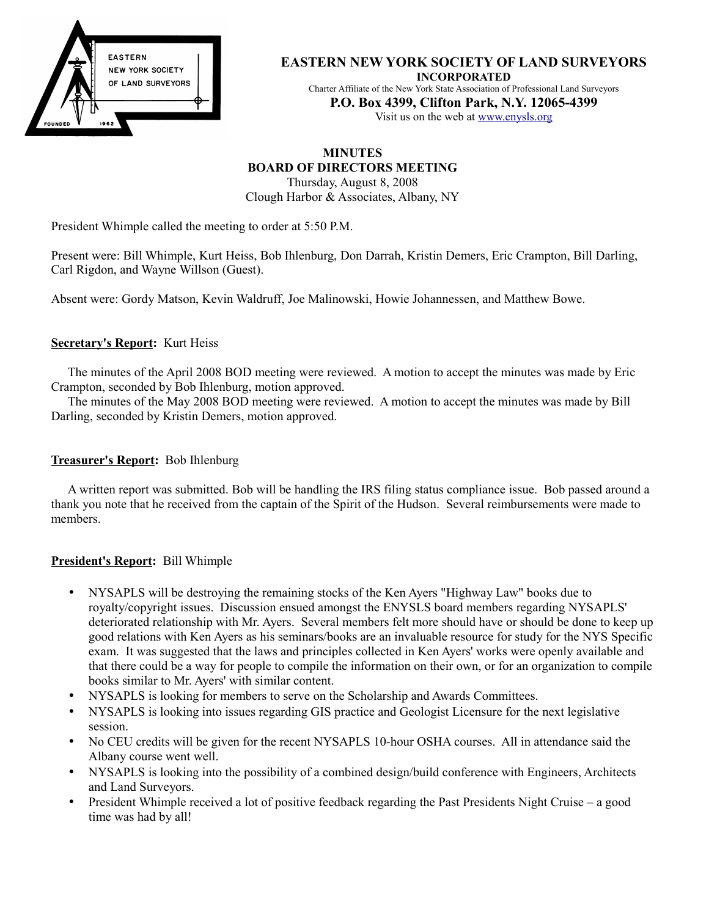

#### **EASTERN NEW YORK SOCIETY OF LAND SURVEYORS INCORPORATED**

Charter Affiliate of the New York State Association of Professional Land Surveyors **P.O. Box 4399, Clifton Park, N.Y. 12065-4399** Visit us on the web at [www.enysls.org](http://www.enysls.org/)

# **MINUTES BOARD OF DIRECTORS MEETING**

Thursday, August 8, 2008 Clough Harbor & Associates, Albany, NY

President Whimple called the meeting to order at 5:50 P.M.

Present were: Bill Whimple, Kurt Heiss, Bob Ihlenburg, Don Darrah, Kristin Demers, Eric Crampton, Bill Darling, Carl Rigdon, and Wayne Willson (Guest).

Absent were: Gordy Matson, Kevin Waldruff, Joe Malinowski, Howie Johannessen, and Matthew Bowe.

# **Secretary's Report:** Kurt Heiss

The minutes of the April 2008 BOD meeting were reviewed. A motion to accept the minutes was made by Eric Crampton, seconded by Bob Ihlenburg, motion approved.

The minutes of the May 2008 BOD meeting were reviewed. A motion to accept the minutes was made by Bill Darling, seconded by Kristin Demers, motion approved.

## **Treasurer's Report:** Bob Ihlenburg

A written report was submitted. Bob will be handling the IRS filing status compliance issue. Bob passed around a thank you note that he received from the captain of the Spirit of the Hudson. Several reimbursements were made to members.

# **President's Report:** Bill Whimple

- NYSAPLS will be destroying the remaining stocks of the Ken Ayers "Highway Law" books due to royalty/copyright issues. Discussion ensued amongst the ENYSLS board members regarding NYSAPLS' deteriorated relationship with Mr. Ayers. Several members felt more should have or should be done to keep up good relations with Ken Ayers as his seminars/books are an invaluable resource for study for the NYS Specific exam. It was suggested that the laws and principles collected in Ken Ayers' works were openly available and that there could be a way for people to compile the information on their own, or for an organization to compile books similar to Mr. Ayers' with similar content.
- NYSAPLS is looking for members to serve on the Scholarship and Awards Committees.
- NYSAPLS is looking into issues regarding GIS practice and Geologist Licensure for the next legislative session.
- No CEU credits will be given for the recent NYSAPLS 10-hour OSHA courses. All in attendance said the Albany course went well.
- NYSAPLS is looking into the possibility of a combined design/build conference with Engineers, Architects and Land Surveyors.
- President Whimple received a lot of positive feedback regarding the Past Presidents Night Cruise a good time was had by all!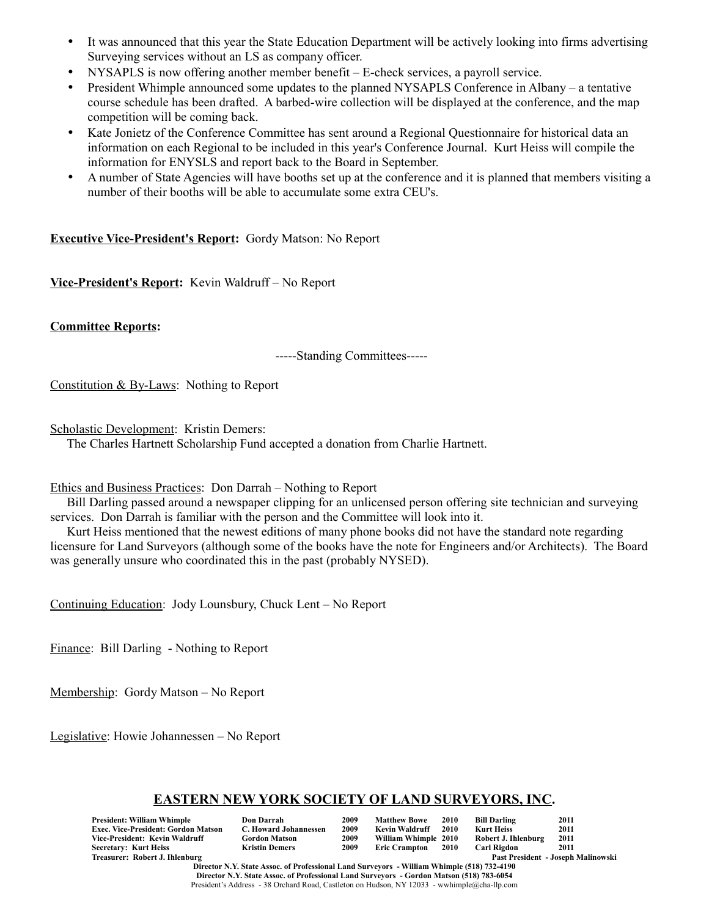- It was announced that this year the State Education Department will be actively looking into firms advertising Surveying services without an LS as company officer.
- NYSAPLS is now offering another member benefit E-check services, a payroll service.
- President Whimple announced some updates to the planned NYSAPLS Conference in Albany a tentative course schedule has been drafted. A barbed-wire collection will be displayed at the conference, and the map competition will be coming back.
- Kate Jonietz of the Conference Committee has sent around a Regional Questionnaire for historical data an information on each Regional to be included in this year's Conference Journal. Kurt Heiss will compile the information for ENYSLS and report back to the Board in September.
- A number of State Agencies will have booths set up at the conference and it is planned that members visiting a number of their booths will be able to accumulate some extra CEU's.

## **Executive Vice-President's Report:** Gordy Matson: No Report

**Vice-President's Report:** Kevin Waldruff – No Report

**Committee Reports:**

-----Standing Committees-----

Constitution & By-Laws: Nothing to Report

Scholastic Development: Kristin Demers:

The Charles Hartnett Scholarship Fund accepted a donation from Charlie Hartnett.

#### Ethics and Business Practices: Don Darrah – Nothing to Report

Bill Darling passed around a newspaper clipping for an unlicensed person offering site technician and surveying services. Don Darrah is familiar with the person and the Committee will look into it.

Kurt Heiss mentioned that the newest editions of many phone books did not have the standard note regarding licensure for Land Surveyors (although some of the books have the note for Engineers and/or Architects). The Board was generally unsure who coordinated this in the past (probably NYSED).

Continuing Education: Jody Lounsbury, Chuck Lent – No Report

Finance: Bill Darling - Nothing to Report

Membership: Gordy Matson – No Report

Legislative: Howie Johannessen – No Report

## **EASTERN NEW YORK SOCIETY OF LAND SURVEYORS, INC.**

| President: William Whimple          | Don Darrah            | 2009 | <b>Matthew Bowe</b>  | <b>2010</b> | <b>Bill Darling</b> | 2011                               |
|-------------------------------------|-----------------------|------|----------------------|-------------|---------------------|------------------------------------|
| Exec. Vice-President: Gordon Matson | C. Howard Johannessen | 2009 | Kevin Waldruff       | 2010        | <b>Kurt Heiss</b>   | 2011                               |
| Vice-President: Kevin Waldruff      | <b>Gordon Matson</b>  | 2009 | William Whimple 2010 |             | Robert J. Ihlenburg | 2011                               |
| <b>Secretary: Kurt Heiss</b>        | <b>Kristin Demers</b> | 2009 | <b>Eric Crampton</b> | - 2010      | <b>Carl Rigdon</b>  | 2011                               |
| Treasurer: Robert J. Ihlenburg      |                       |      |                      |             |                     | Past President - Joseph Malinowski |

**Director N.Y. State Assoc. of Professional Land Surveyors - William Whimple (518) 732-4190 Director N.Y. State Assoc. of Professional Land Surveyors - Gordon Matson (518) 783-6054** President's Address - 38 Orchard Road, Castleton on Hudson, NY 12033 - wwhimple@cha-llp.com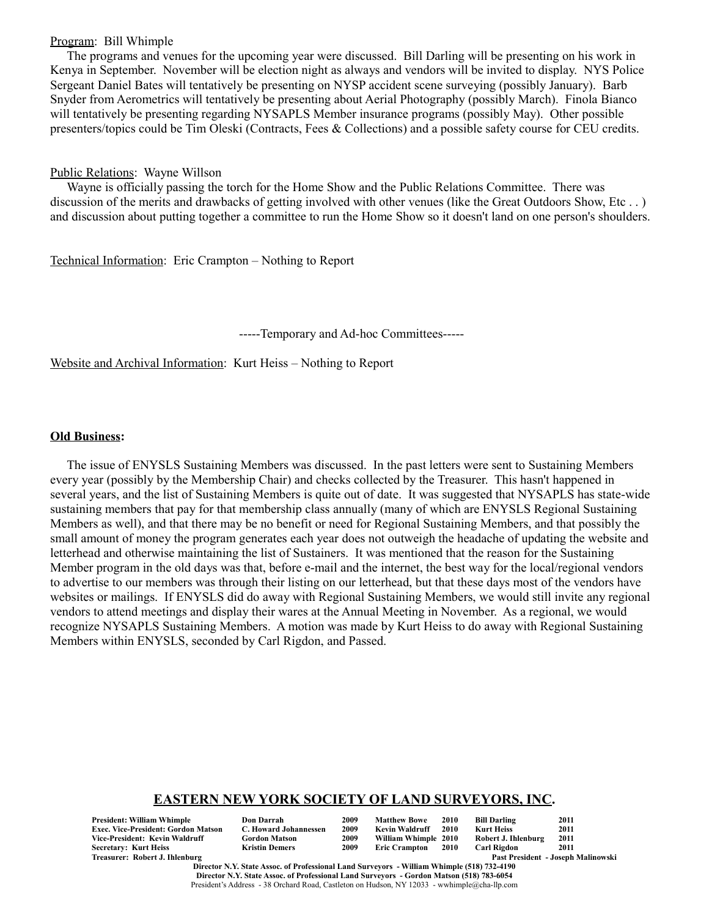#### Program: Bill Whimple

The programs and venues for the upcoming year were discussed. Bill Darling will be presenting on his work in Kenya in September. November will be election night as always and vendors will be invited to display. NYS Police Sergeant Daniel Bates will tentatively be presenting on NYSP accident scene surveying (possibly January). Barb Snyder from Aerometrics will tentatively be presenting about Aerial Photography (possibly March). Finola Bianco will tentatively be presenting regarding NYSAPLS Member insurance programs (possibly May). Other possible presenters/topics could be Tim Oleski (Contracts, Fees & Collections) and a possible safety course for CEU credits.

### Public Relations: Wayne Willson

Wayne is officially passing the torch for the Home Show and the Public Relations Committee. There was discussion of the merits and drawbacks of getting involved with other venues (like the Great Outdoors Show, Etc . . ) and discussion about putting together a committee to run the Home Show so it doesn't land on one person's shoulders.

Technical Information: Eric Crampton – Nothing to Report

-----Temporary and Ad-hoc Committees-----

Website and Archival Information: Kurt Heiss – Nothing to Report

## **Old Business:**

The issue of ENYSLS Sustaining Members was discussed. In the past letters were sent to Sustaining Members every year (possibly by the Membership Chair) and checks collected by the Treasurer. This hasn't happened in several years, and the list of Sustaining Members is quite out of date. It was suggested that NYSAPLS has state-wide sustaining members that pay for that membership class annually (many of which are ENYSLS Regional Sustaining Members as well), and that there may be no benefit or need for Regional Sustaining Members, and that possibly the small amount of money the program generates each year does not outweigh the headache of updating the website and letterhead and otherwise maintaining the list of Sustainers. It was mentioned that the reason for the Sustaining Member program in the old days was that, before e-mail and the internet, the best way for the local/regional vendors to advertise to our members was through their listing on our letterhead, but that these days most of the vendors have websites or mailings. If ENYSLS did do away with Regional Sustaining Members, we would still invite any regional vendors to attend meetings and display their wares at the Annual Meeting in November. As a regional, we would recognize NYSAPLS Sustaining Members. A motion was made by Kurt Heiss to do away with Regional Sustaining Members within ENYSLS, seconded by Carl Rigdon, and Passed.

# **EASTERN NEW YORK SOCIETY OF LAND SURVEYORS, INC.**

**President: William Whimple Don Darrah 2009 Matthew Bowe 2010 Bill Darling 2011 Exec. Vice-President: Gordon Matson C. Howard Johannessen 2009 Kevin Waldruff 2010 Kurt Heiss 2011**  $Vice-President: Kevin Waldruff$ **Secretary: Kurt Heiss Kristin Demers 2009 Eric Crampton 2010 Carl Rigdon 2011**

| Don Darrah           |
|----------------------|
| C. Howard Johannesse |
| Gordon Matson        |
| Kristin Demers       |

Past President - Joseph Malinowski

**Director N.Y. State Assoc. of Professional Land Surveyors - William Whimple (518) 732-4190 Director N.Y. State Assoc. of Professional Land Surveyors - Gordon Matson (518) 783-6054** President's Address - 38 Orchard Road, Castleton on Hudson, NY 12033 - wwhimple@cha-llp.com